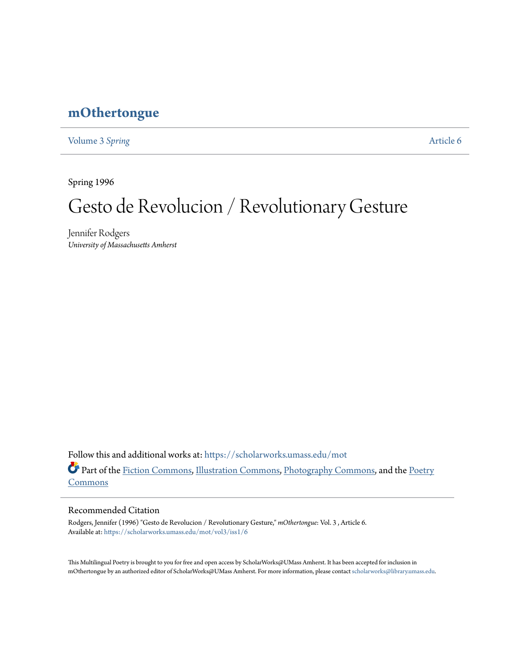# **[mOthertongue](https://scholarworks.umass.edu/mot?utm_source=scholarworks.umass.edu%2Fmot%2Fvol3%2Fiss1%2F6&utm_medium=PDF&utm_campaign=PDFCoverPages)**

[Volume 3](https://scholarworks.umass.edu/mot/vol3?utm_source=scholarworks.umass.edu%2Fmot%2Fvol3%2Fiss1%2F6&utm_medium=PDF&utm_campaign=PDFCoverPages) Spring **[Article 6](https://scholarworks.umass.edu/mot/vol3/iss1/6?utm_source=scholarworks.umass.edu%2Fmot%2Fvol3%2Fiss1%2F6&utm_medium=PDF&utm_campaign=PDFCoverPages)** 

Spring 1996

# Gesto de Revolucion / Revolutionary Gesture

Jennifer Rodgers *University of Massachusetts Amherst*

Follow this and additional works at: [https://scholarworks.umass.edu/mot](https://scholarworks.umass.edu/mot?utm_source=scholarworks.umass.edu%2Fmot%2Fvol3%2Fiss1%2F6&utm_medium=PDF&utm_campaign=PDFCoverPages) Part of the [Fiction Commons](http://network.bepress.com/hgg/discipline/1151?utm_source=scholarworks.umass.edu%2Fmot%2Fvol3%2Fiss1%2F6&utm_medium=PDF&utm_campaign=PDFCoverPages), [Illustration Commons,](http://network.bepress.com/hgg/discipline/1135?utm_source=scholarworks.umass.edu%2Fmot%2Fvol3%2Fiss1%2F6&utm_medium=PDF&utm_campaign=PDFCoverPages) [Photography Commons,](http://network.bepress.com/hgg/discipline/1142?utm_source=scholarworks.umass.edu%2Fmot%2Fvol3%2Fiss1%2F6&utm_medium=PDF&utm_campaign=PDFCoverPages) and the [Poetry](http://network.bepress.com/hgg/discipline/1153?utm_source=scholarworks.umass.edu%2Fmot%2Fvol3%2Fiss1%2F6&utm_medium=PDF&utm_campaign=PDFCoverPages) [Commons](http://network.bepress.com/hgg/discipline/1153?utm_source=scholarworks.umass.edu%2Fmot%2Fvol3%2Fiss1%2F6&utm_medium=PDF&utm_campaign=PDFCoverPages)

#### Recommended Citation

Rodgers, Jennifer (1996) "Gesto de Revolucion / Revolutionary Gesture," *mOthertongue*: Vol. 3 , Article 6. Available at: [https://scholarworks.umass.edu/mot/vol3/iss1/6](https://scholarworks.umass.edu/mot/vol3/iss1/6?utm_source=scholarworks.umass.edu%2Fmot%2Fvol3%2Fiss1%2F6&utm_medium=PDF&utm_campaign=PDFCoverPages)

This Multilingual Poetry is brought to you for free and open access by ScholarWorks@UMass Amherst. It has been accepted for inclusion in mOthertongue by an authorized editor of ScholarWorks@UMass Amherst. For more information, please contact [scholarworks@library.umass.edu](mailto:scholarworks@library.umass.edu).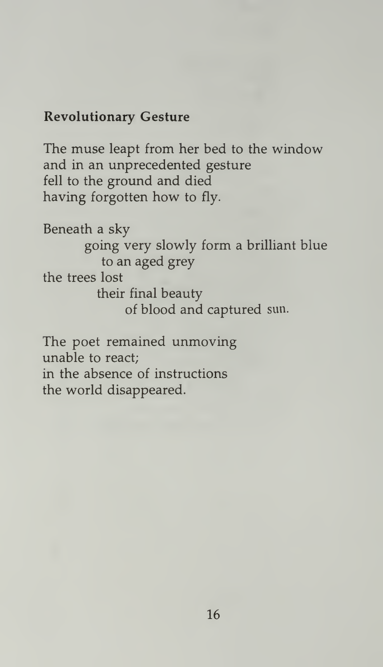## Revolutionary Gesture

The muse leapt from her bed to the window and in an unprecedented gesture fell to the ground and died having forgotten how to fly.

Beneath a sky going very slowly form a brilliant blue to an aged grey the trees lost their final beauty of blood and captured sun.

The poet remained unmoving unable to react; in the absence of instructions the world disappeared.